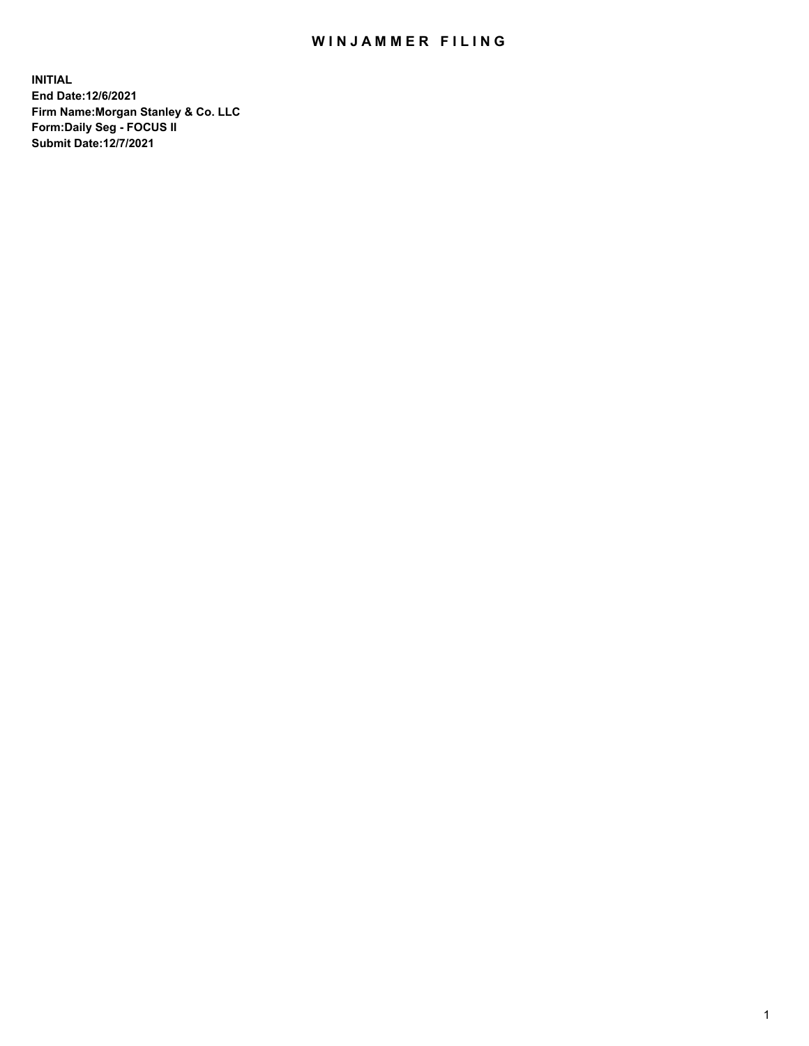## WIN JAMMER FILING

**INITIAL End Date:12/6/2021 Firm Name:Morgan Stanley & Co. LLC Form:Daily Seg - FOCUS II Submit Date:12/7/2021**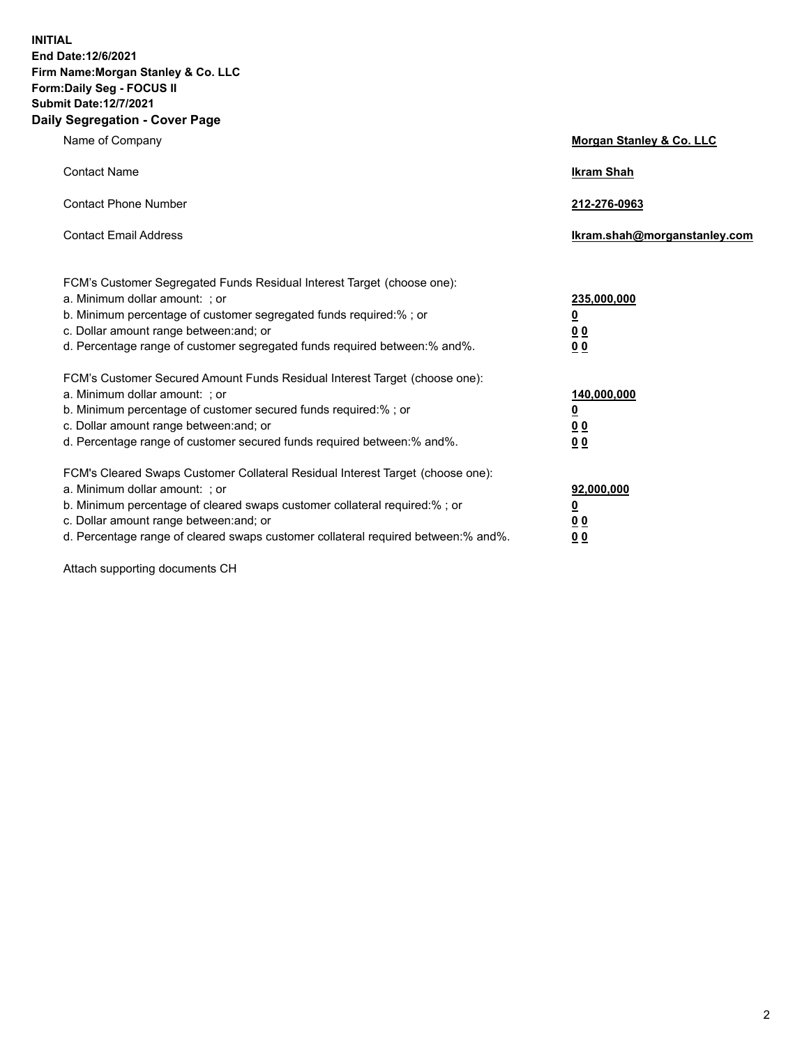**INITIAL End Date:12/6/2021 Firm Name:Morgan Stanley & Co. LLC Form:Daily Seg - FOCUS II Submit Date:12/7/2021 Daily Segregation - Cover Page**

| Name of Company                                                                                                                                                                                                                                                                                                                | Morgan Stanley & Co. LLC                               |
|--------------------------------------------------------------------------------------------------------------------------------------------------------------------------------------------------------------------------------------------------------------------------------------------------------------------------------|--------------------------------------------------------|
| <b>Contact Name</b>                                                                                                                                                                                                                                                                                                            | <b>Ikram Shah</b>                                      |
| <b>Contact Phone Number</b>                                                                                                                                                                                                                                                                                                    | 212-276-0963                                           |
| <b>Contact Email Address</b>                                                                                                                                                                                                                                                                                                   | Ikram.shah@morganstanley.com                           |
| FCM's Customer Segregated Funds Residual Interest Target (choose one):<br>a. Minimum dollar amount: : or<br>b. Minimum percentage of customer segregated funds required:%; or<br>c. Dollar amount range between: and; or<br>d. Percentage range of customer segregated funds required between:% and%.                          | 235,000,000<br><u>0</u><br>0 Q<br><u>00</u>            |
| FCM's Customer Secured Amount Funds Residual Interest Target (choose one):<br>a. Minimum dollar amount: ; or<br>b. Minimum percentage of customer secured funds required:%; or<br>c. Dollar amount range between: and; or<br>d. Percentage range of customer secured funds required between:% and%.                            | 140,000,000<br><u>0</u><br><u>00</u><br>0 <sub>0</sub> |
| FCM's Cleared Swaps Customer Collateral Residual Interest Target (choose one):<br>a. Minimum dollar amount: ; or<br>b. Minimum percentage of cleared swaps customer collateral required:% ; or<br>c. Dollar amount range between: and; or<br>d. Percentage range of cleared swaps customer collateral required between:% and%. | 92,000,000<br><u>0</u><br><u>00</u><br>0 <sub>0</sub>  |

Attach supporting documents CH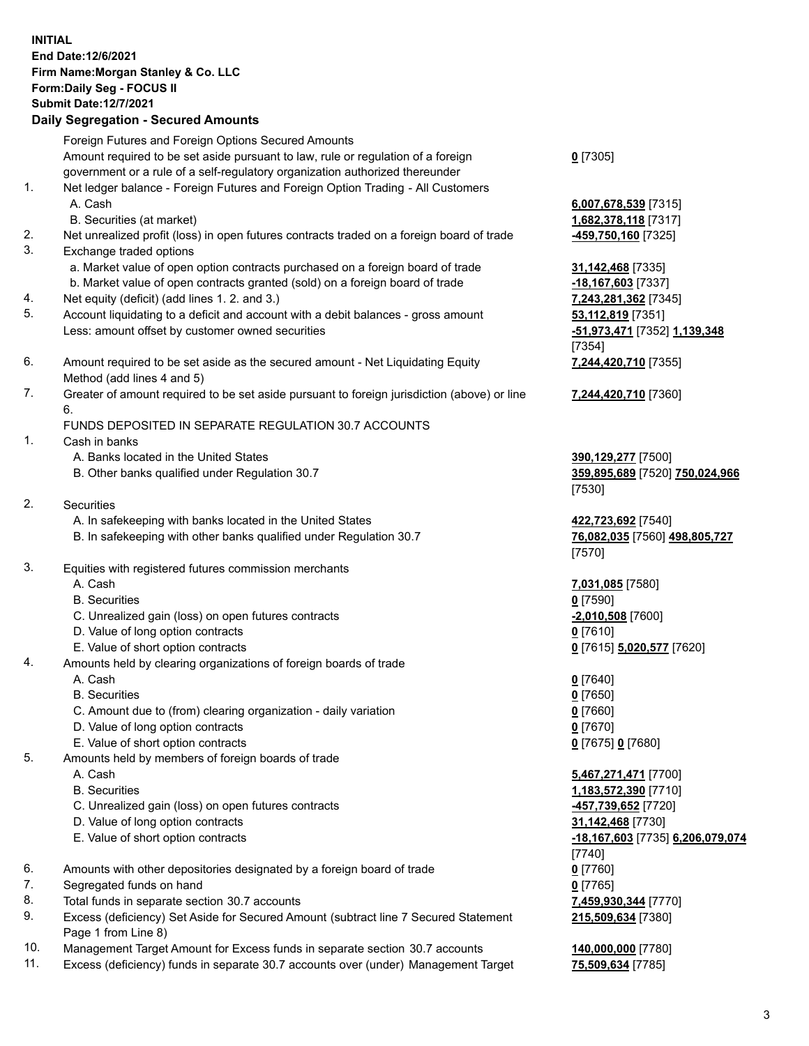## **INITIAL End Date:12/6/2021 Firm Name:Morgan Stanley & Co. LLC Form:Daily Seg - FOCUS II Submit Date:12/7/2021**

**Daily Segregation - Secured Amounts** Foreign Futures and Foreign Options Secured Amounts Amount required to be set aside pursuant to law, rule or regulation of a foreign government or a rule of a self-regulatory organization authorized thereunder 1. Net ledger balance - Foreign Futures and Foreign Option Trading - All Customers A. Cash **6,007,678,539** [7315] B. Securities (at market) **1,682,378,118** [7317] 2. Net unrealized profit (loss) in open futures contracts traded on a foreign board of trade **-459,750,160** [7325] 3. Exchange traded options a. Market value of open option contracts purchased on a foreign board of trade **31,142,468** [7335] b. Market value of open contracts granted (sold) on a foreign board of trade **-18,167,603** [7337] 4. Net equity (deficit) (add lines 1. 2. and 3.) **7,243,281,362** [7345] 5. Account liquidating to a deficit and account with a debit balances - gross amount **53,112,819** [7351] Less: amount offset by customer owned securities **-51,973,471** [7352] **1,139,348** 6. Amount required to be set aside as the secured amount - Net Liquidating Equity Method (add lines 4 and 5) 7. Greater of amount required to be set aside pursuant to foreign jurisdiction (above) or line 6. FUNDS DEPOSITED IN SEPARATE REGULATION 30.7 ACCOUNTS 1. Cash in banks A. Banks located in the United States **390,129,277** [7500] B. Other banks qualified under Regulation 30.7 **359,895,689** [7520] **750,024,966** 2. Securities A. In safekeeping with banks located in the United States **422,723,692** [7540] B. In safekeeping with other banks qualified under Regulation 30.7 **76,082,035** [7560] **498,805,727** 3. Equities with registered futures commission merchants A. Cash **7,031,085** [7580] B. Securities **0** [7590] C. Unrealized gain (loss) on open futures contracts **-2,010,508** [7600] D. Value of long option contracts **0** [7610] E. Value of short option contracts **0** [7615] **5,020,577** [7620] 4. Amounts held by clearing organizations of foreign boards of trade A. Cash **0** [7640] B. Securities **0** [7650] C. Amount due to (from) clearing organization - daily variation **0** [7660] D. Value of long option contracts **0** [7670] E. Value of short option contracts **0** [7675] **0** [7680] 5. Amounts held by members of foreign boards of trade A. Cash **5,467,271,471** [7700] B. Securities **1,183,572,390** [7710] C. Unrealized gain (loss) on open futures contracts **-457,739,652** [7720] D. Value of long option contracts **31,142,468** [7730] E. Value of short option contracts **-18,167,603** [7735] **6,206,079,074**

- 6. Amounts with other depositories designated by a foreign board of trade **0** [7760]
- 7. Segregated funds on hand **0** [7765]
- 8. Total funds in separate section 30.7 accounts **7,459,930,344** [7770]
- 9. Excess (deficiency) Set Aside for Secured Amount (subtract line 7 Secured Statement Page 1 from Line 8)
- 10. Management Target Amount for Excess funds in separate section 30.7 accounts **140,000,000** [7780]
- 11. Excess (deficiency) funds in separate 30.7 accounts over (under) Management Target **75,509,634** [7785]

**0** [7305]

[7354] **7,244,420,710** [7355]

**7,244,420,710** [7360]

[7530]

[7570]

[7740] **215,509,634** [7380]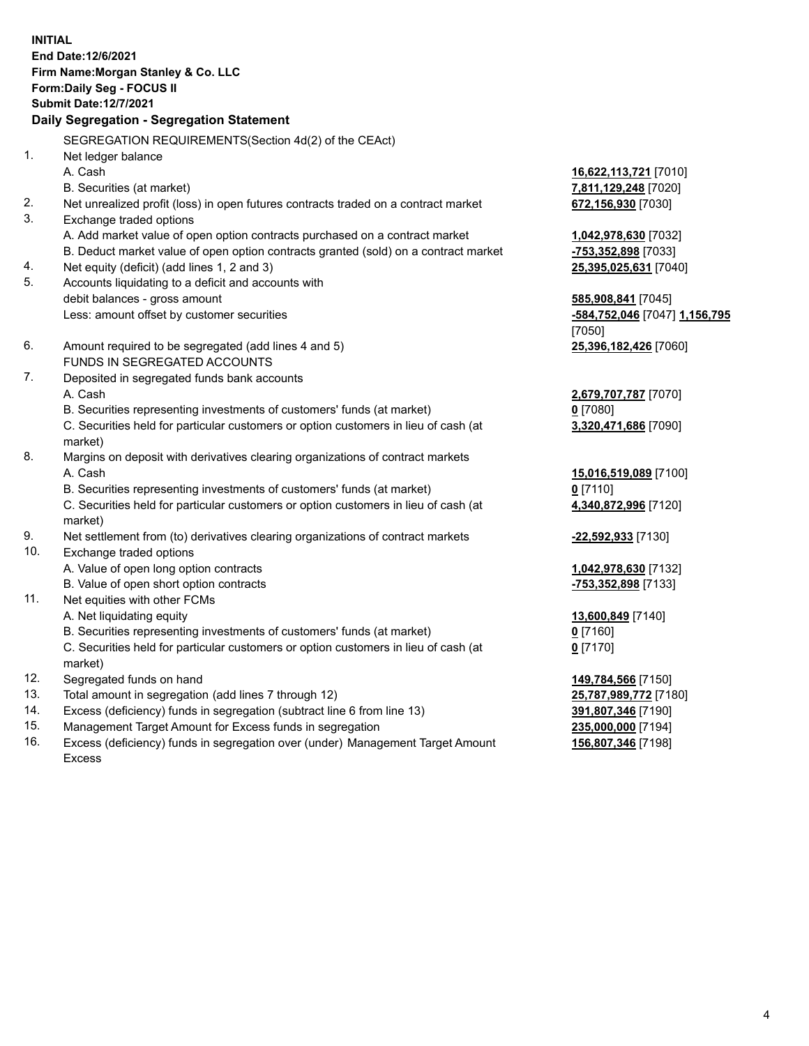**INITIAL End Date:12/6/2021 Firm Name:Morgan Stanley & Co. LLC Form:Daily Seg - FOCUS II Submit Date:12/7/2021 Daily Segregation - Segregation Statement** SEGREGATION REQUIREMENTS(Section 4d(2) of the CEAct) 1. Net ledger balance A. Cash **16,622,113,721** [7010] B. Securities (at market) **7,811,129,248** [7020] 2. Net unrealized profit (loss) in open futures contracts traded on a contract market **672,156,930** [7030] 3. Exchange traded options A. Add market value of open option contracts purchased on a contract market **1,042,978,630** [7032] B. Deduct market value of open option contracts granted (sold) on a contract market **-753,352,898** [7033] 4. Net equity (deficit) (add lines 1, 2 and 3) **25,395,025,631** [7040] 5. Accounts liquidating to a deficit and accounts with debit balances - gross amount **585,908,841** [7045] Less: amount offset by customer securities **-584,752,046** [7047] **1,156,795** [7050] 6. Amount required to be segregated (add lines 4 and 5) **25,396,182,426** [7060] FUNDS IN SEGREGATED ACCOUNTS 7. Deposited in segregated funds bank accounts A. Cash **2,679,707,787** [7070] B. Securities representing investments of customers' funds (at market) **0** [7080] C. Securities held for particular customers or option customers in lieu of cash (at market) **3,320,471,686** [7090] 8. Margins on deposit with derivatives clearing organizations of contract markets A. Cash **15,016,519,089** [7100] B. Securities representing investments of customers' funds (at market) **0** [7110] C. Securities held for particular customers or option customers in lieu of cash (at market) **4,340,872,996** [7120] 9. Net settlement from (to) derivatives clearing organizations of contract markets **-22,592,933** [7130] 10. Exchange traded options A. Value of open long option contracts **1,042,978,630** [7132] B. Value of open short option contracts **-753,352,898** [7133] 11. Net equities with other FCMs A. Net liquidating equity **13,600,849** [7140] B. Securities representing investments of customers' funds (at market) **0** [7160] C. Securities held for particular customers or option customers in lieu of cash (at market) **0** [7170] 12. Segregated funds on hand **149,784,566** [7150] 13. Total amount in segregation (add lines 7 through 12) **25,787,989,772** [7180] 14. Excess (deficiency) funds in segregation (subtract line 6 from line 13) **391,807,346** [7190]

- 15. Management Target Amount for Excess funds in segregation **235,000,000** [7194]
- 16. Excess (deficiency) funds in segregation over (under) Management Target Amount Excess

**156,807,346** [7198]